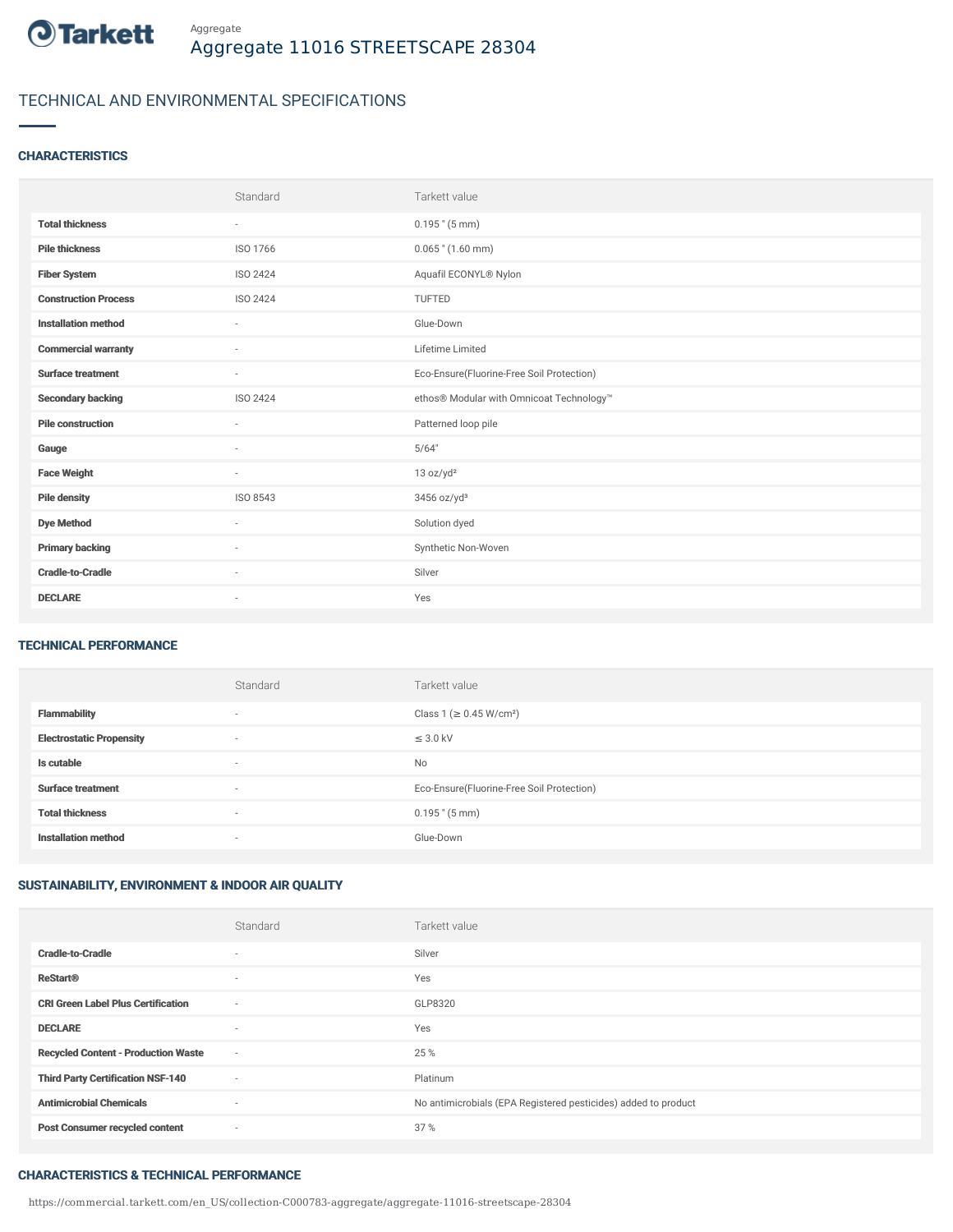

# TECHNICAL AND ENVIRONMENTAL SPECIFICATIONS

### **CHARACTERISTICS**

|                             | Standard        | Tarkett value                             |
|-----------------------------|-----------------|-------------------------------------------|
| <b>Total thickness</b>      | $\sim$          | $0.195$ " $(5 \text{ mm})$                |
| <b>Pile thickness</b>       | ISO 1766        | $0.065$ " $(1.60$ mm)                     |
| <b>Fiber System</b>         | <b>ISO 2424</b> | Aquafil ECONYL® Nylon                     |
| <b>Construction Process</b> | <b>ISO 2424</b> | TUFTED                                    |
| <b>Installation method</b>  | $\sim$          | Glue-Down                                 |
| <b>Commercial warranty</b>  | ٠               | Lifetime Limited                          |
| <b>Surface treatment</b>    | $\sim$          | Eco-Ensure(Fluorine-Free Soil Protection) |
| <b>Secondary backing</b>    | ISO 2424        | ethos® Modular with Omnicoat Technology™  |
| <b>Pile construction</b>    | $\sim$          | Patterned loop pile                       |
| Gauge                       | ٠               | 5/64"                                     |
| <b>Face Weight</b>          | $\sim$          | 13 oz/yd <sup>2</sup>                     |
| <b>Pile density</b>         | ISO 8543        | 3456 oz/yd <sup>3</sup>                   |
| <b>Dye Method</b>           | ٠               | Solution dyed                             |
| <b>Primary backing</b>      | ٠               | Synthetic Non-Woven                       |
| <b>Cradle-to-Cradle</b>     | $\sim$          | Silver                                    |
| <b>DECLARE</b>              | $\sim$          | Yes                                       |

### TECHNICAL PERFORMANCE

|                                 | Standard                 | Tarkett value                             |
|---------------------------------|--------------------------|-------------------------------------------|
| <b>Flammability</b>             | $\overline{\phantom{a}}$ | Class 1 (≥ 0.45 W/cm <sup>2</sup> )       |
| <b>Electrostatic Propensity</b> | $\overline{\phantom{a}}$ | $\leq$ 3.0 kV                             |
| Is cutable                      | $\overline{\phantom{a}}$ | No                                        |
| <b>Surface treatment</b>        | $\overline{\phantom{a}}$ | Eco-Ensure(Fluorine-Free Soil Protection) |
| <b>Total thickness</b>          | $\overline{\phantom{a}}$ | $0.195$ " (5 mm)                          |
| <b>Installation method</b>      | $\overline{\phantom{a}}$ | Glue-Down                                 |

## SUSTAINABILITY, ENVIRONMENT & INDOOR AIR QUALITY

|                                            | Standard                 | Tarkett value                                                  |
|--------------------------------------------|--------------------------|----------------------------------------------------------------|
| <b>Cradle-to-Cradle</b>                    | $\overline{\phantom{a}}$ | Silver                                                         |
| <b>ReStart®</b>                            | ٠                        | Yes                                                            |
| <b>CRI Green Label Plus Certification</b>  | ٠                        | GLP8320                                                        |
| <b>DECLARE</b>                             | $\overline{\phantom{a}}$ | Yes                                                            |
| <b>Recycled Content - Production Waste</b> | $\sim$                   | 25 %                                                           |
| <b>Third Party Certification NSF-140</b>   | ٠                        | Platinum                                                       |
| <b>Antimicrobial Chemicals</b>             | ٠                        | No antimicrobials (EPA Registered pesticides) added to product |
| <b>Post Consumer recycled content</b>      | ٠                        | 37%                                                            |

#### CHARACTERISTICS & TECHNICAL PERFORMANCE